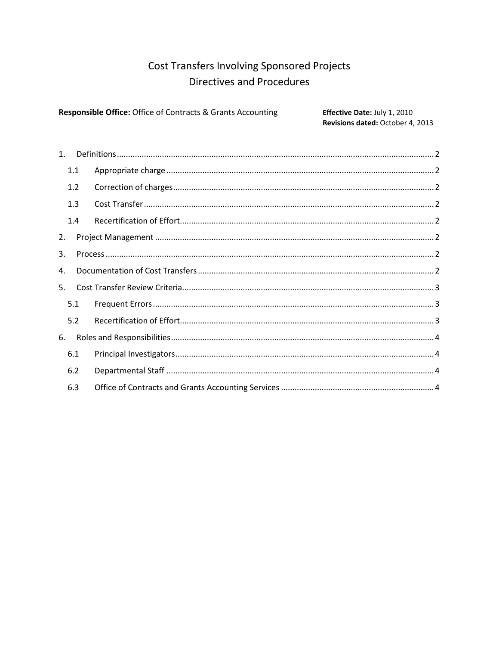# **Cost Transfers Involving Sponsored Projects** Directives and Procedures

| Responsible Office: Office of Contracts & Grants Accounting |  | Effective Date: July 1, 2010<br>Revisions dated: October 4, 2013 |
|-------------------------------------------------------------|--|------------------------------------------------------------------|
| $\mathbf{1}$ .                                              |  |                                                                  |
| 1.1                                                         |  |                                                                  |
| 1.2                                                         |  |                                                                  |
| 1.3                                                         |  |                                                                  |
| 1.4                                                         |  |                                                                  |
| 2.                                                          |  |                                                                  |
| 3.                                                          |  |                                                                  |
| 4.                                                          |  |                                                                  |
| 5.                                                          |  |                                                                  |
| 5.1                                                         |  |                                                                  |
| 5.2                                                         |  |                                                                  |
| 6.                                                          |  |                                                                  |
| 6.1                                                         |  |                                                                  |
| 6.2                                                         |  |                                                                  |
| 6.3                                                         |  |                                                                  |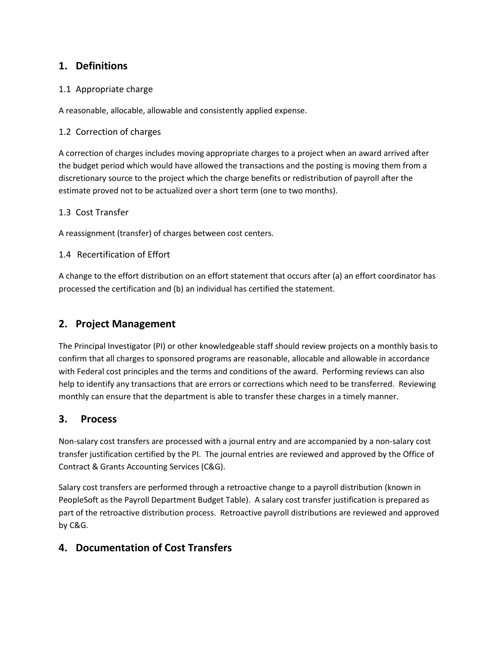# <span id="page-1-0"></span>**1. Definitions**

#### <span id="page-1-1"></span>1.1 Appropriate charge

A reasonable, allocable, allowable and consistently applied expense.

#### <span id="page-1-2"></span>1.2 Correction of charges

A correction of charges includes moving appropriate charges to a project when an award arrived after the budget period which would have allowed the transactions and the posting is moving them from a discretionary source to the project which the charge benefits or redistribution of payroll after the estimate proved not to be actualized over a short term (one to two months).

#### <span id="page-1-3"></span>1.3 Cost Transfer

A reassignment (transfer) of charges between cost centers.

### <span id="page-1-4"></span>1.4 Recertification of Effort

A change to the effort distribution on an effort statement that occurs after (a) an effort coordinator has processed the certification and (b) an individual has certified the statement.

# <span id="page-1-5"></span>**2. Project Management**

The Principal Investigator (PI) or other knowledgeable staff should review projects on a monthly basis to confirm that all charges to sponsored programs are reasonable, allocable and allowable in accordance with Federal cost principles and the terms and conditions of the award. Performing reviews can also help to identify any transactions that are errors or corrections which need to be transferred. Reviewing monthly can ensure that the department is able to transfer these charges in a timely manner.

### <span id="page-1-6"></span>**3. Process**

Non-salary cost transfers are processed with a journal entry and are accompanied by a non-salary cost transfer justification certified by the PI. The journal entries are reviewed and approved by the Office of Contract & Grants Accounting Services (C&G).

Salary cost transfers are performed through a retroactive change to a payroll distribution (known in PeopleSoft as the Payroll Department Budget Table). A salary cost transfer justification is prepared as part of the retroactive distribution process. Retroactive payroll distributions are reviewed and approved by C&G.

# <span id="page-1-7"></span>**4. Documentation of Cost Transfers**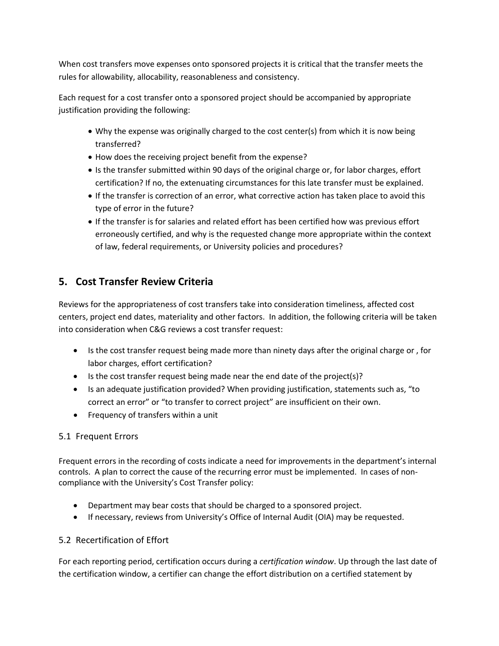When cost transfers move expenses onto sponsored projects it is critical that the transfer meets the rules for allowability, allocability, reasonableness and consistency.

Each request for a cost transfer onto a sponsored project should be accompanied by appropriate justification providing the following:

- Why the expense was originally charged to the cost center(s) from which it is now being transferred?
- How does the receiving project benefit from the expense?
- Is the transfer submitted within 90 days of the original charge or, for labor charges, effort certification? If no, the extenuating circumstances for this late transfer must be explained.
- If the transfer is correction of an error, what corrective action has taken place to avoid this type of error in the future?
- If the transfer is for salaries and related effort has been certified how was previous effort erroneously certified, and why is the requested change more appropriate within the context of law, federal requirements, or University policies and procedures?

# <span id="page-2-0"></span>**5. Cost Transfer Review Criteria**

Reviews for the appropriateness of cost transfers take into consideration timeliness, affected cost centers, project end dates, materiality and other factors. In addition, the following criteria will be taken into consideration when C&G reviews a cost transfer request:

- Is the cost transfer request being made more than ninety days after the original charge or , for labor charges, effort certification?
- Is the cost transfer request being made near the end date of the project(s)?
- Is an adequate justification provided? When providing justification, statements such as, "to correct an error" or "to transfer to correct project" are insufficient on their own.
- Frequency of transfers within a unit

# <span id="page-2-1"></span>5.1 Frequent Errors

Frequent errors in the recording of costs indicate a need for improvements in the department's internal controls. A plan to correct the cause of the recurring error must be implemented. In cases of noncompliance with the University's Cost Transfer policy:

- Department may bear costs that should be charged to a sponsored project.
- If necessary, reviews from University's Office of Internal Audit (OIA) may be requested.

# <span id="page-2-2"></span>5.2 Recertification of Effort

For each reporting period, certification occurs during a *certification window*. Up through the last date of the certification window, a certifier can change the effort distribution on a certified statement by